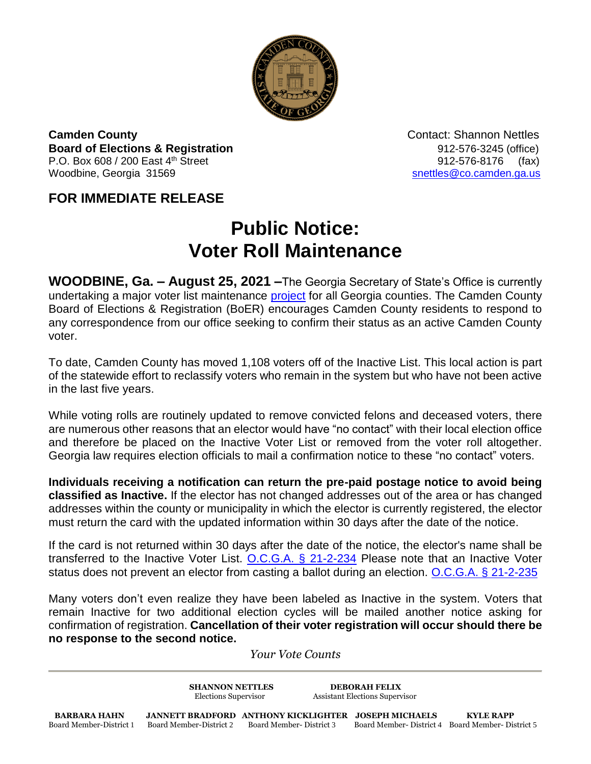

**Camden County Contact: Shannon Nettles Board of Elections & Registration** 8. **Board of Elections & Registration** P.O. Box 608 / 200 East 4<sup>th</sup> Street 912-576-8176 (fax) Woodbine, Georgia 31569 [snettles@co.camden.ga.us](mailto:snettles@co.camden.ga.us)

## **FOR IMMEDIATE RELEASE**

## **Public Notice: Voter Roll Maintenance**

**WOODBINE, Ga. – August 25, 2021 –**The Georgia Secretary of State's Office is currently undertaking a major voter list maintenance [project](https://sos.ga.gov/index.php/elections/secretary_raffensperger_takes_action_to_uphold_ballot_integrity_with_major_list_maintenance_effort) for all Georgia counties. The Camden County Board of Elections & Registration (BoER) encourages Camden County residents to respond to any correspondence from our office seeking to confirm their status as an active Camden County voter.

To date, Camden County has moved 1,108 voters off of the Inactive List. This local action is part of the statewide effort to reclassify voters who remain in the system but who have not been active in the last five years.

While voting rolls are routinely updated to remove convicted felons and deceased voters, there are numerous other reasons that an elector would have "no contact" with their local election office and therefore be placed on the Inactive Voter List or removed from the voter roll altogether. Georgia law requires election officials to mail a confirmation notice to these "no contact" voters.

**Individuals receiving a notification can return the pre-paid postage notice to avoid being classified as Inactive.** If the elector has not changed addresses out of the area or has changed addresses within the county or municipality in which the elector is currently registered, the elector must return the card with the updated information within 30 days after the date of the notice.

If the card is not returned within 30 days after the date of the notice, the elector's name shall be transferred to the Inactive Voter List. [O.C.G.A.](https://advance.lexis.com/api/document/collection/statutes-legislation/id/6338-9ND1-F528-G3XB-00008-00?cite=O.C.G.A.%20%C2%A7%2021-2-234&context=1000516) § 21-2-234 Please note that an Inactive Voter status does not prevent an elector from casting a ballot during an election. [O.C.G.A.](https://advance.lexis.com/api/document/collection/statutes-legislation/id/6338-9NB1-F5KY-B4XY-00008-00?cite=O.C.G.A.%20%C2%A7%2021-2-235&context=1000516) § 21-2-235

Many voters don't even realize they have been labeled as Inactive in the system. Voters that remain Inactive for two additional election cycles will be mailed another notice asking for confirmation of registration. **Cancellation of their voter registration will occur should there be no response to the second notice.**

*Your Vote Counts*

**SHANNON NETTLES DEBORAH FELIX** Elections Supervisor Assistant Elections Supervisor